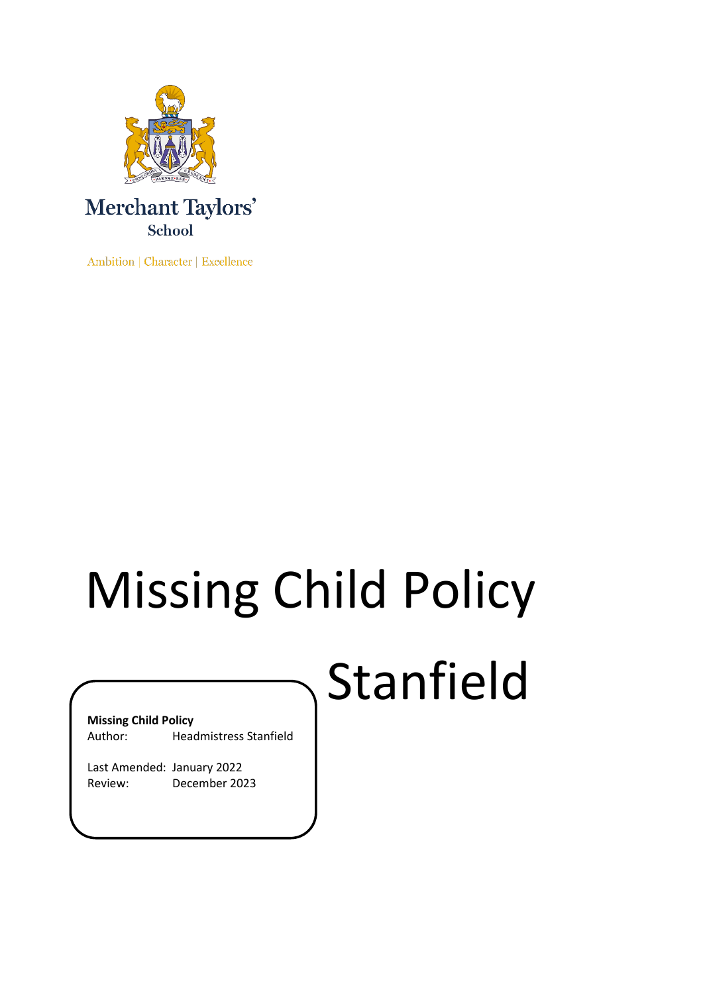

Ambition | Character | Excellence

# Missing Child Policy

## Stanfield

#### **Missing Child Policy**

Author: Headmistress Stanfield

Last Amended: January 2022 Review: December 2023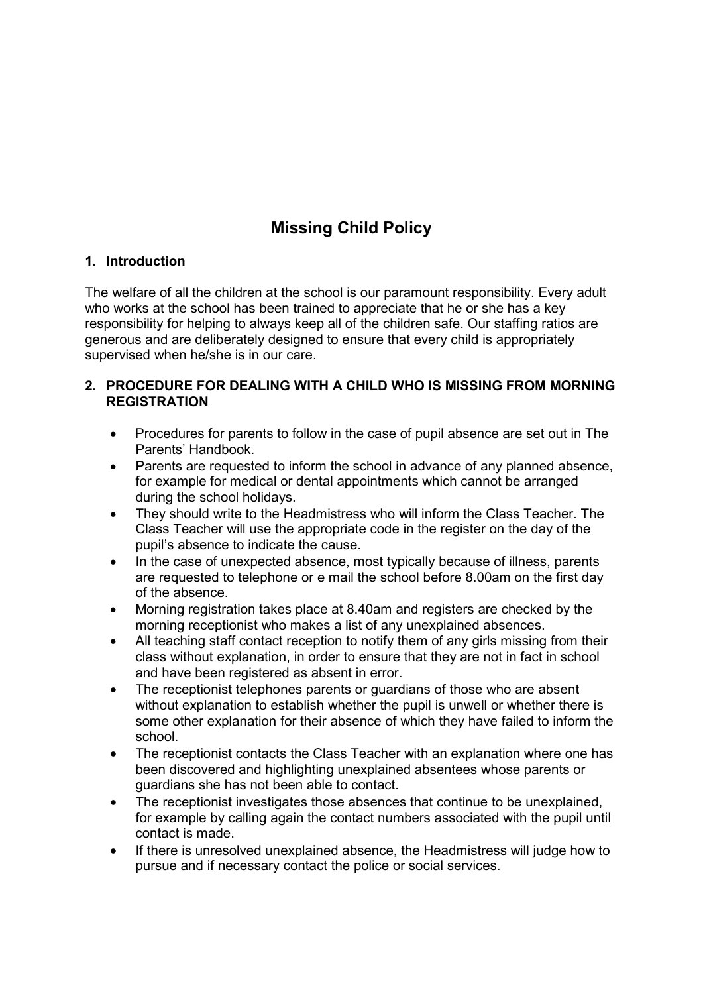### **Missing Child Policy**

#### **1. Introduction**

The welfare of all the children at the school is our paramount responsibility. Every adult who works at the school has been trained to appreciate that he or she has a key responsibility for helping to always keep all of the children safe. Our staffing ratios are generous and are deliberately designed to ensure that every child is appropriately supervised when he/she is in our care.

#### **2. PROCEDURE FOR DEALING WITH A CHILD WHO IS MISSING FROM MORNING REGISTRATION**

- Procedures for parents to follow in the case of pupil absence are set out in The Parents' Handbook.
- Parents are requested to inform the school in advance of any planned absence, for example for medical or dental appointments which cannot be arranged during the school holidays.
- They should write to the Headmistress who will inform the Class Teacher. The Class Teacher will use the appropriate code in the register on the day of the pupil's absence to indicate the cause.
- In the case of unexpected absence, most typically because of illness, parents are requested to telephone or e mail the school before 8.00am on the first day of the absence.
- Morning registration takes place at 8.40am and registers are checked by the morning receptionist who makes a list of any unexplained absences.
- All teaching staff contact reception to notify them of any girls missing from their class without explanation, in order to ensure that they are not in fact in school and have been registered as absent in error.
- The receptionist telephones parents or guardians of those who are absent without explanation to establish whether the pupil is unwell or whether there is some other explanation for their absence of which they have failed to inform the school.
- The receptionist contacts the Class Teacher with an explanation where one has been discovered and highlighting unexplained absentees whose parents or guardians she has not been able to contact.
- The receptionist investigates those absences that continue to be unexplained. for example by calling again the contact numbers associated with the pupil until contact is made.
- If there is unresolved unexplained absence, the Headmistress will judge how to pursue and if necessary contact the police or social services.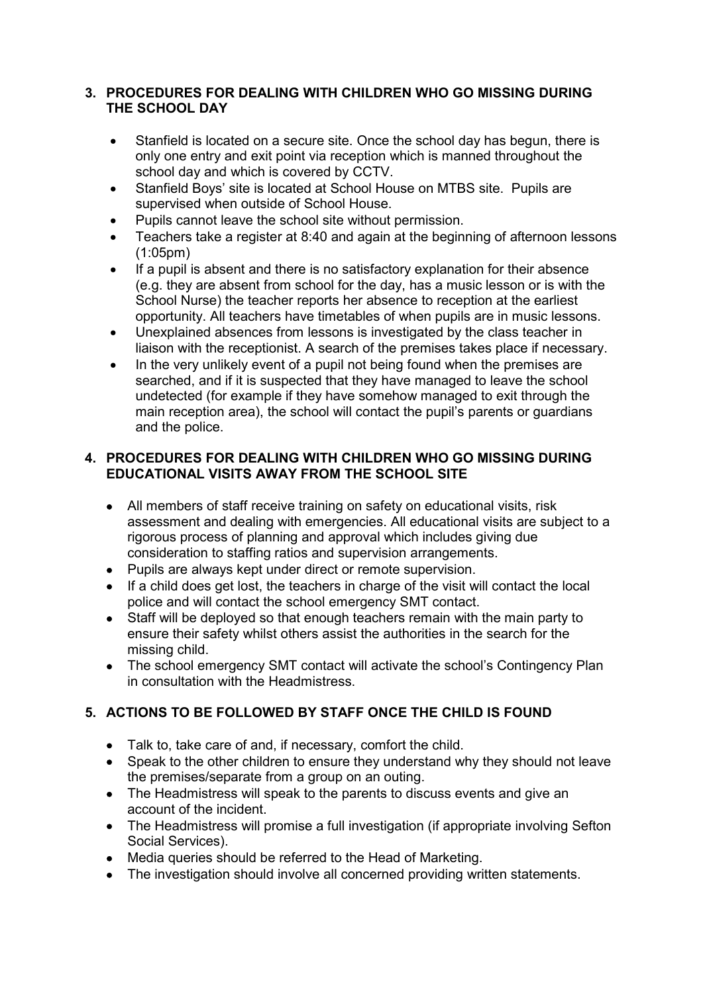#### **3. PROCEDURES FOR DEALING WITH CHILDREN WHO GO MISSING DURING THE SCHOOL DAY**

- Stanfield is located on a secure site. Once the school day has begun, there is only one entry and exit point via reception which is manned throughout the school day and which is covered by CCTV.
- Stanfield Boys' site is located at School House on MTBS site. Pupils are supervised when outside of School House.
- Pupils cannot leave the school site without permission.
- Teachers take a register at 8:40 and again at the beginning of afternoon lessons  $(1:05pm)$
- If a pupil is absent and there is no satisfactory explanation for their absence (e.g. they are absent from school for the day, has a music lesson or is with the School Nurse) the teacher reports her absence to reception at the earliest opportunity. All teachers have timetables of when pupils are in music lessons.
- Unexplained absences from lessons is investigated by the class teacher in liaison with the receptionist. A search of the premises takes place if necessary.
- In the very unlikely event of a pupil not being found when the premises are searched, and if it is suspected that they have managed to leave the school undetected (for example if they have somehow managed to exit through the main reception area), the school will contact the pupil's parents or guardians and the police.

#### **4. PROCEDURES FOR DEALING WITH CHILDREN WHO GO MISSING DURING EDUCATIONAL VISITS AWAY FROM THE SCHOOL SITE**

- All members of staff receive training on safety on educational visits, risk assessment and dealing with emergencies. All educational visits are subject to a rigorous process of planning and approval which includes giving due consideration to staffing ratios and supervision arrangements.
- Pupils are always kept under direct or remote supervision.
- If a child does get lost, the teachers in charge of the visit will contact the local police and will contact the school emergency SMT contact.
- Staff will be deployed so that enough teachers remain with the main party to ensure their safety whilst others assist the authorities in the search for the missing child.
- The school emergency SMT contact will activate the school's Contingency Plan in consultation with the Headmistress.

#### **5. ACTIONS TO BE FOLLOWED BY STAFF ONCE THE CHILD IS FOUND**

- Talk to, take care of and, if necessary, comfort the child.
- Speak to the other children to ensure they understand why they should not leave the premises/separate from a group on an outing.
- The Headmistress will speak to the parents to discuss events and give an account of the incident.
- The Headmistress will promise a full investigation (if appropriate involving Sefton Social Services).
- Media queries should be referred to the Head of Marketing.
- The investigation should involve all concerned providing written statements.